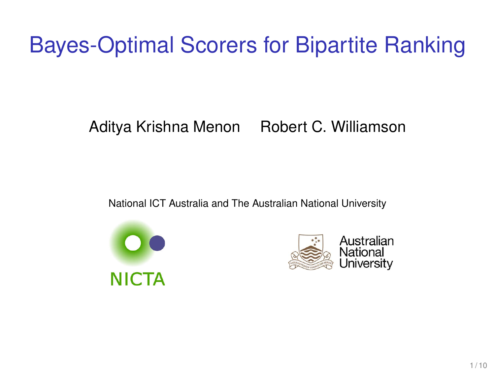# Bayes-Optimal Scorers for Bipartite Ranking

#### Aditya Krishna Menon Robert C. Williamson

National ICT Australia and The Australian National University



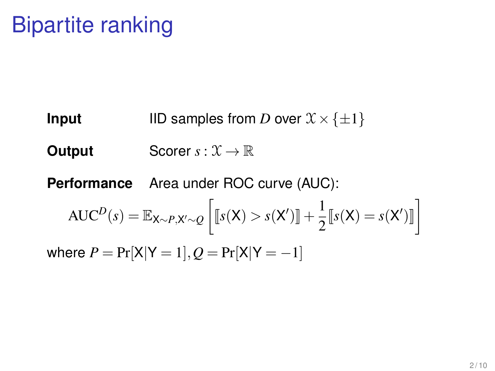**Input** IID samples from *D* over  $\mathcal{X} \times \{\pm 1\}$ **Output** Scorer  $s: \mathcal{X} \to \mathbb{R}$ **Performance** Area under ROC curve (AUC):  $\text{AUC}^D(s) = \mathbb{E}_{\mathsf{X} \sim P, \mathsf{X}' \sim Q} \left[ \llbracket s(\mathsf{X}) > s(\mathsf{X}') \rrbracket + \frac{1}{2} \right]$  $\frac{1}{2} \llbracket s(\mathsf{X}) = s(\mathsf{X}') \rrbracket$ where  $P = Pr[X|Y = 1], Q = Pr[X|Y = -1]$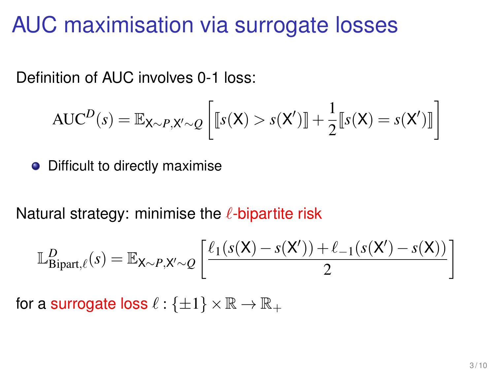#### AUC maximisation via surrogate losses

Definition of AUC involves 0-1 loss:

$$
AUC^{D}(s) = \mathbb{E}_{X \sim P, X' \sim Q} \left[ \llbracket s(X) > s(X') \rrbracket + \frac{1}{2} \llbracket s(X) = s(X') \rrbracket \right]
$$

 $\bullet$ Difficult to directly maximise

Natural strategy: minimise the  $\ell$ -bipartite risk

$$
\mathbb{L}_{\text{Bipart},\ell}^D(s) = \mathbb{E}_{\mathsf{X}\sim P,\mathsf{X}'\sim Q} \left[ \frac{\ell_1(s(\mathsf{X}) - s(\mathsf{X}')) + \ell_{-1}(s(\mathsf{X}') - s(\mathsf{X}))}{2} \right]
$$

for a surrogate loss  $\ell : {\pm 1} \times \mathbb{R} \to \mathbb{R}_+$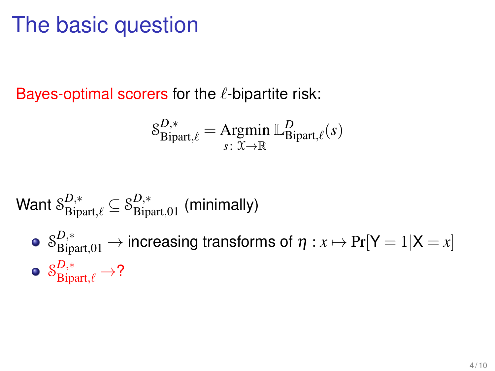## The basic question

Bayes-optimal scorers for the  $\ell$ -bipartite risk:

$$
\mathcal{S}_{\text{Bipart},\ell}^{D,*} = \underset{s:\ \mathcal{X}\to\mathbb{R}}{\text{Argmin}}\ \mathbb{L}_{\text{Bipart},\ell}^{D}(s)
$$

Want 
$$
\mathcal{S}_{\text{Bipart},\ell}^{D,*} \subseteq \mathcal{S}_{\text{Bipart},01}^{D,*}
$$
 (minimally)

 $\mathcal{S}_{\text{Bipart},01}^{D,*}\to$  increasing transforms of  $\eta: x\mapsto \Pr[\mathsf{Y}=1|\mathsf{X}=x]$  $\mathcal{S}^{D,*}_{\text{Bipart},\ell} \to ?$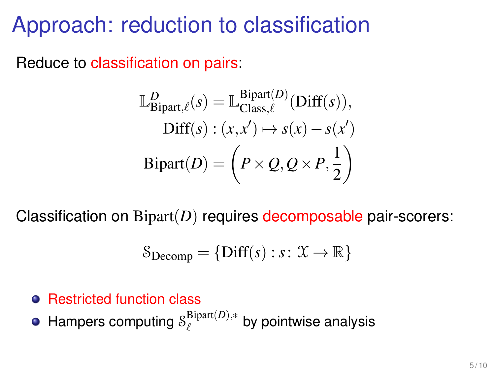## Approach: reduction to classification

Reduce to classification on pairs:

$$
\mathbb{L}_{\text{Bipart},\ell}^D(s) = \mathbb{L}_{\text{Class},\ell}^{\text{Bipart}(D)}(\text{Diff}(s)),
$$
  
Diff(s) : (x, x') \mapsto s(x) - s(x')  
Bipart(D) = \left(P \times Q, Q \times P, \frac{1}{2}\right)

Classification on Bipart(*D*) requires decomposable pair-scorers:

$$
\mathcal{S}_{\text{Decomp}} = \{\text{Diff}(s) : s \colon \mathcal{X} \to \mathbb{R}\}
$$

#### **• Restricted function class**

Hampers computing S<sup>Bipart(D),\*</sup>  $\ell^{Bipart(D),*}$  by pointwise analysis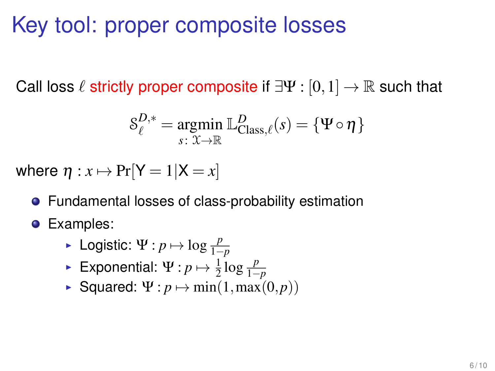## Key tool: proper composite losses

Call loss  $\ell$  strictly proper composite if  $\exists \Psi : [0,1] \to \mathbb{R}$  such that

$$
\mathcal{S}_{\ell}^{D,*} = \underset{s \colon \mathfrak{X} \to \mathbb{R}}{\operatorname{argmin}} \mathbb{L}_{\text{Class},\ell}^{D}(s) = \{ \Psi \circ \eta \}
$$

where  $\eta: x \mapsto Pr[Y = 1|X = x]$ 

- Fundamental losses of class-probability estimation
- **•** Examples:
	- **Example 1−** Logistic: Ψ : *p*  $\mapsto$  log  $\frac{p}{1-p}$
	- ► Exponential: Ψ: *p*  $\mapsto \frac{1}{2} \log \frac{p}{1-p}$
	- **Squared:**  $\Psi: p \mapsto min(1, max(0, p))$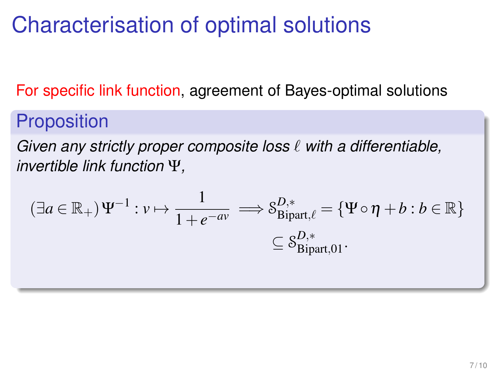## Characterisation of optimal solutions

For specific link function, agreement of Bayes-optimal solutions

#### **Proposition**

*Given any strictly proper composite loss*  $\ell$  *with a differentiable, invertible link function* Ψ*,*

$$
(\exists a \in \mathbb{R}_{+}) \Psi^{-1} : v \mapsto \frac{1}{1 + e^{-av}} \implies \mathcal{S}_{\text{Bipart}, \ell}^{D,*} = \{\Psi \circ \eta + b : b \in \mathbb{R}\}
$$

$$
\subseteq \mathcal{S}_{\text{Bipart}, 01}^{D,*}.
$$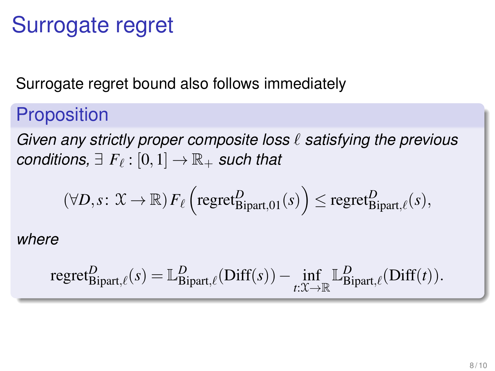## Surrogate regret

Surrogate regret bound also follows immediately

#### **Proposition**

*Given any strictly proper composite loss*  $\ell$  *satisfying the previous*  $conditions, \exists F_{\ell} : [0,1] \rightarrow \mathbb{R}_+$  *such that* 

$$
(\forall D, s: \mathfrak{X} \to \mathbb{R}) \, F_{\ell} \left( \text{regret}_{\text{Bipart},01}^D(s) \right) \leq \text{regret}_{\text{Bipart},\ell}^D(s),
$$

*where*

$$
\text{regret}_{\text{Bipart},\ell}^D(s) = \mathbb{L}_{\text{Bipart},\ell}^D(\text{Diff}(s)) - \inf_{t:\mathcal{X}\to\mathbb{R}} \mathbb{L}_{\text{Bipart},\ell}^D(\text{Diff}(t)).
$$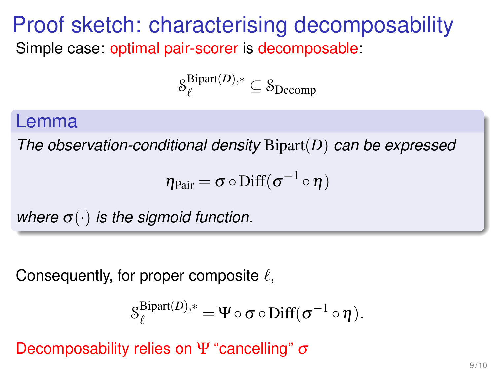#### Proof sketch: characterising decomposability Simple case: optimal pair-scorer is decomposable:

$$
\mathcal{S}_{\ell}^{\text{Bipart}(D),*} \subseteq \mathcal{S}_{\text{Decomp}}
$$

#### Lemma

*The observation-conditional density* Bipart(*D*) *can be expressed*

$$
\eta_{Pair} = \sigma \circ \mathrm{Diff}(\sigma^{-1} \circ \eta)
$$

*where*  $\sigma(\cdot)$  *is the sigmoid function.* 

Consequently, for proper composite  $\ell$ ,

$$
\mathcal{S}_{\ell}^{\text{Bipart}(D),*} = \Psi \circ \sigma \circ \text{Diff}(\sigma^{-1} \circ \eta).
$$

Decomposability relies on Ψ "cancelling"  $\sigma$